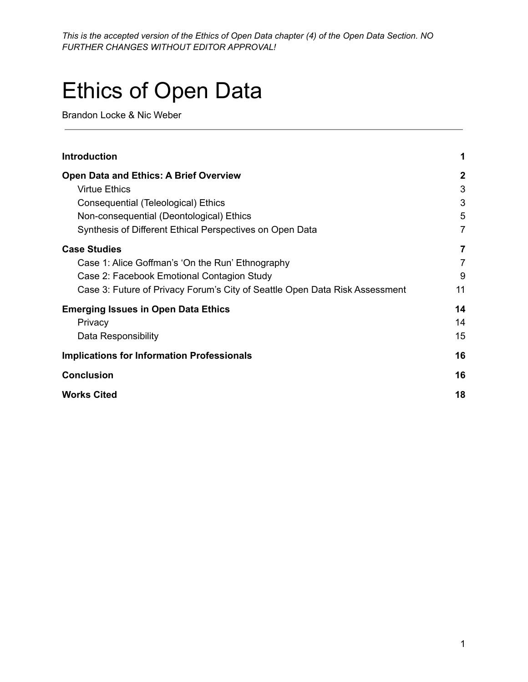# Ethics of Open Data

Brandon Locke & Nic Weber

| <b>Introduction</b>                                                         | 1              |
|-----------------------------------------------------------------------------|----------------|
| <b>Open Data and Ethics: A Brief Overview</b>                               | $\mathbf 2$    |
| <b>Virtue Ethics</b>                                                        | 3              |
| Consequential (Teleological) Ethics                                         | 3              |
| Non-consequential (Deontological) Ethics                                    | 5              |
| Synthesis of Different Ethical Perspectives on Open Data                    | $\overline{7}$ |
| <b>Case Studies</b>                                                         | 7              |
| Case 1: Alice Goffman's 'On the Run' Ethnography                            | $\overline{7}$ |
| Case 2: Facebook Emotional Contagion Study                                  | 9              |
| Case 3: Future of Privacy Forum's City of Seattle Open Data Risk Assessment | 11             |
| <b>Emerging Issues in Open Data Ethics</b>                                  | 14             |
| Privacy                                                                     | 14             |
| Data Responsibility                                                         | 15             |
| <b>Implications for Information Professionals</b>                           | 16             |
| <b>Conclusion</b>                                                           | 16             |
| <b>Works Cited</b>                                                          | 18             |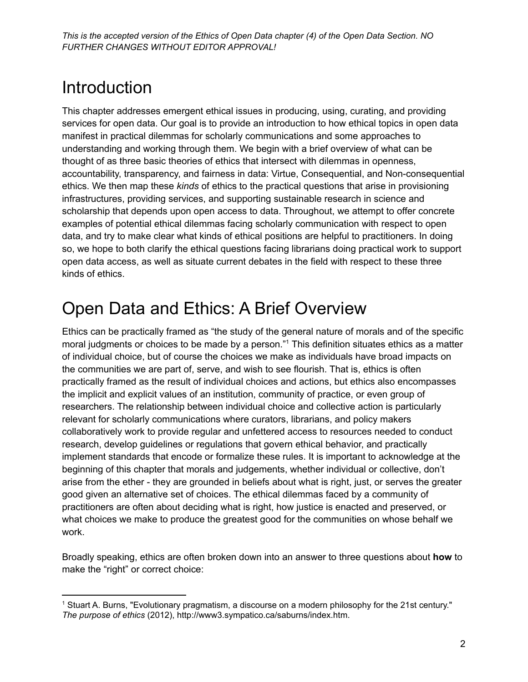# <span id="page-1-0"></span>Introduction

This chapter addresses emergent ethical issues in producing, using, curating, and providing services for open data. Our goal is to provide an introduction to how ethical topics in open data manifest in practical dilemmas for scholarly communications and some approaches to understanding and working through them. We begin with a brief overview of what can be thought of as three basic theories of ethics that intersect with dilemmas in openness, accountability, transparency, and fairness in data: Virtue, Consequential, and Non-consequential ethics. We then map these *kinds* of ethics to the practical questions that arise in provisioning infrastructures, providing services, and supporting sustainable research in science and scholarship that depends upon open access to data. Throughout, we attempt to offer concrete examples of potential ethical dilemmas facing scholarly communication with respect to open data, and try to make clear what kinds of ethical positions are helpful to practitioners. In doing so, we hope to both clarify the ethical questions facing librarians doing practical work to support open data access, as well as situate current debates in the field with respect to these three kinds of ethics.

# <span id="page-1-1"></span>Open Data and Ethics: A Brief Overview

Ethics can be practically framed as "the study of the general nature of morals and of the specific moral judgments or choices to be made by a person." <sup>1</sup> This definition situates ethics as a matter of individual choice, but of course the choices we make as individuals have broad impacts on the communities we are part of, serve, and wish to see flourish. That is, ethics is often practically framed as the result of individual choices and actions, but ethics also encompasses the implicit and explicit values of an institution, community of practice, or even group of researchers. The relationship between individual choice and collective action is particularly relevant for scholarly communications where curators, librarians, and policy makers collaboratively work to provide regular and unfettered access to resources needed to conduct research, develop guidelines or regulations that govern ethical behavior, and practically implement standards that encode or formalize these rules. It is important to acknowledge at the beginning of this chapter that morals and judgements, whether individual or collective, don't arise from the ether - they are grounded in beliefs about what is right, just, or serves the greater good given an alternative set of choices. The ethical dilemmas faced by a community of practitioners are often about deciding what is right, how justice is enacted and preserved, or what choices we make to produce the greatest good for the communities on whose behalf we work.

Broadly speaking, ethics are often broken down into an answer to three questions about **how** to make the "right" or correct choice:

<sup>1</sup> Stuart A. Burns, "Evolutionary pragmatism, a discourse on a modern philosophy for the 21st century." *The purpose of ethics* (2012), http://www3.sympatico.ca/saburns/index.htm.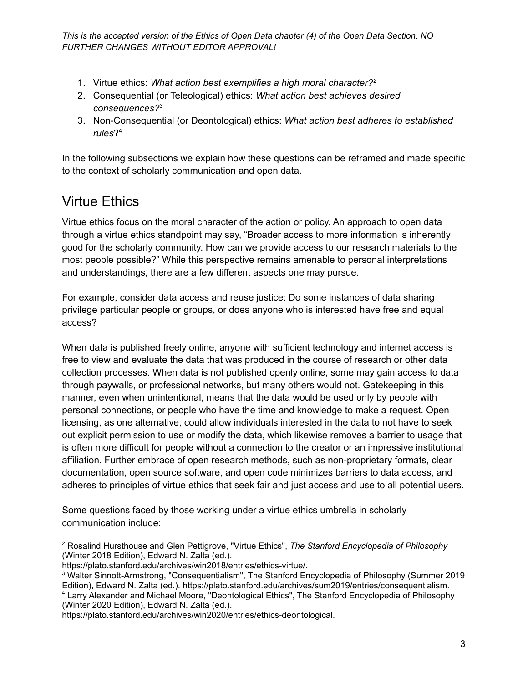- 1. Virtue ethics: *What action best exemplifies a high moral character? 2*
- 2. Consequential (or Teleological) ethics: *What action best achieves desired consequences? 3*
- 3. Non-Consequential (or Deontological) ethics: *What action best adheres to established rules*? 4

In the following subsections we explain how these questions can be reframed and made specific to the context of scholarly communication and open data.

### <span id="page-2-0"></span>Virtue Ethics

Virtue ethics focus on the moral character of the action or policy. An approach to open data through a virtue ethics standpoint may say, "Broader access to more information is inherently good for the scholarly community. How can we provide access to our research materials to the most people possible?" While this perspective remains amenable to personal interpretations and understandings, there are a few different aspects one may pursue.

For example, consider data access and reuse justice: Do some instances of data sharing privilege particular people or groups, or does anyone who is interested have free and equal access?

When data is published freely online, anyone with sufficient technology and internet access is free to view and evaluate the data that was produced in the course of research or other data collection processes. When data is not published openly online, some may gain access to data through paywalls, or professional networks, but many others would not. Gatekeeping in this manner, even when unintentional, means that the data would be used only by people with personal connections, or people who have the time and knowledge to make a request. Open licensing, as one alternative, could allow individuals interested in the data to not have to seek out explicit permission to use or modify the data, which likewise removes a barrier to usage that is often more difficult for people without a connection to the creator or an impressive institutional affiliation. Further embrace of open research methods, such as non-proprietary formats, clear documentation, open source software, and open code minimizes barriers to data access, and adheres to principles of virtue ethics that seek fair and just access and use to all potential users.

Some questions faced by those working under a virtue ethics umbrella in scholarly communication include:

<sup>2</sup> Rosalind Hursthouse and Glen Pettigrove, "Virtue Ethics", *The Stanford Encyclopedia of Philosophy* (Winter 2018 Edition), Edward N. Zalta (ed.).

https://plato.stanford.edu/archives/win2018/entries/ethics-virtue/.

<sup>3</sup> Walter Sinnott-Armstrong, "Consequentialism", The Stanford Encyclopedia of Philosophy (Summer 2019 Edition), Edward N. Zalta (ed.). https://plato.stanford.edu/archives/sum2019/entries/consequentialism.

<sup>4</sup> Larry Alexander and Michael Moore, "Deontological Ethics", The Stanford Encyclopedia of Philosophy (Winter 2020 Edition), Edward N. Zalta (ed.).

https://plato.stanford.edu/archives/win2020/entries/ethics-deontological.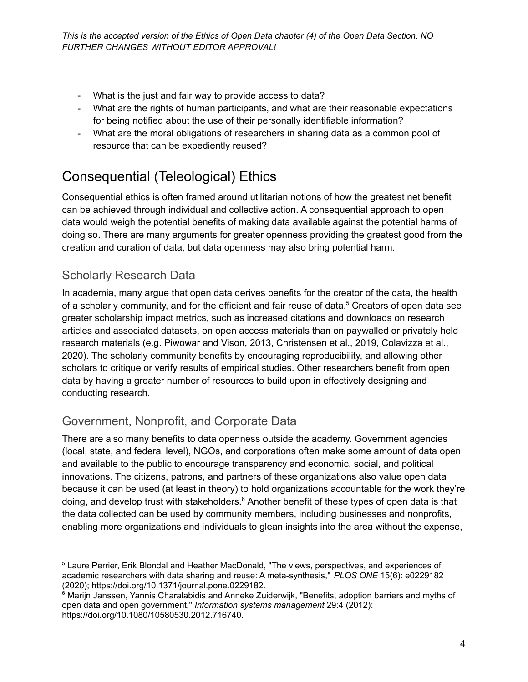- What is the just and fair way to provide access to data?
- What are the rights of human participants, and what are their reasonable expectations for being notified about the use of their personally identifiable information?
- What are the moral obligations of researchers in sharing data as a common pool of resource that can be expediently reused?

### <span id="page-3-0"></span>Consequential (Teleological) Ethics

Consequential ethics is often framed around utilitarian notions of how the greatest net benefit can be achieved through individual and collective action. A consequential approach to open data would weigh the potential benefits of making data available against the potential harms of doing so. There are many arguments for greater openness providing the greatest good from the creation and curation of data, but data openness may also bring potential harm.

### Scholarly Research Data

In academia, many argue that open data derives benefits for the creator of the data, the health of a scholarly community, and for the efficient and fair reuse of data. <sup>5</sup> Creators of open data see greater scholarship impact metrics, such as increased citations and downloads on research articles and associated datasets, on open access materials than on paywalled or privately held research materials (e.g. Piwowar and Vison, 2013, Christensen et al., 2019, Colavizza et al., 2020). The scholarly community benefits by encouraging reproducibility, and allowing other scholars to critique or verify results of empirical studies. Other researchers benefit from open data by having a greater number of resources to build upon in effectively designing and conducting research.

### Government, Nonprofit, and Corporate Data

There are also many benefits to data openness outside the academy. Government agencies (local, state, and federal level), NGOs, and corporations often make some amount of data open and available to the public to encourage transparency and economic, social, and political innovations. The citizens, patrons, and partners of these organizations also value open data because it can be used (at least in theory) to hold organizations accountable for the work they're doing, and develop trust with stakeholders.<sup>6</sup> Another benefit of these types of open data is that the data collected can be used by community members, including businesses and nonprofits, enabling more organizations and individuals to glean insights into the area without the expense,

<sup>5</sup> Laure Perrier, Erik Blondal and Heather MacDonald, "The views, perspectives, and experiences of academic researchers with data sharing and reuse: A meta-synthesis," *PLOS ONE* 15(6): e0229182 (2020); https://doi.org/10.1371/journal.pone.0229182.

<sup>&</sup>lt;sup>6</sup> Mariin Janssen, Yannis Charalabidis and Anneke Zuiderwijk, "Benefits, adoption barriers and myths of open data and open government," *Information systems management* 29:4 (2012): https://doi.org/10.1080/10580530.2012.716740.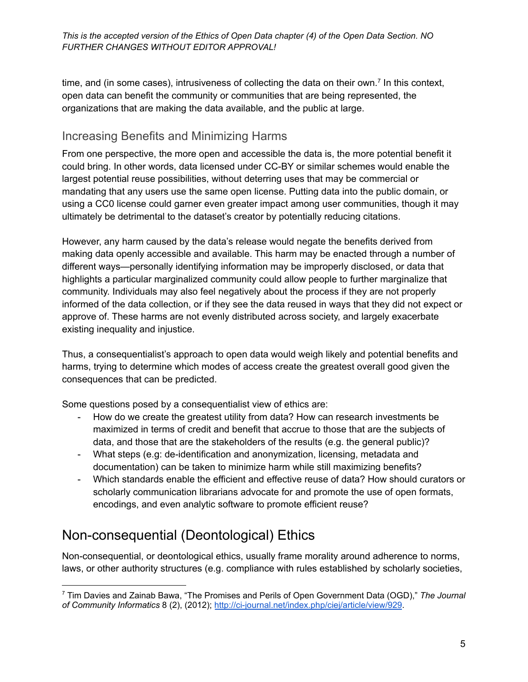time, and (in some cases), intrusiveness of collecting the data on their own.<sup>7</sup> In this context, open data can benefit the community or communities that are being represented, the organizations that are making the data available, and the public at large.

### Increasing Benefits and Minimizing Harms

From one perspective, the more open and accessible the data is, the more potential benefit it could bring. In other words, data licensed under CC-BY or similar schemes would enable the largest potential reuse possibilities, without deterring uses that may be commercial or mandating that any users use the same open license. Putting data into the public domain, or using a CC0 license could garner even greater impact among user communities, though it may ultimately be detrimental to the dataset's creator by potentially reducing citations.

However, any harm caused by the data's release would negate the benefits derived from making data openly accessible and available. This harm may be enacted through a number of different ways—personally identifying information may be improperly disclosed, or data that highlights a particular marginalized community could allow people to further marginalize that community. Individuals may also feel negatively about the process if they are not properly informed of the data collection, or if they see the data reused in ways that they did not expect or approve of. These harms are not evenly distributed across society, and largely exacerbate existing inequality and injustice.

Thus, a consequentialist's approach to open data would weigh likely and potential benefits and harms, trying to determine which modes of access create the greatest overall good given the consequences that can be predicted.

Some questions posed by a consequentialist view of ethics are:

- How do we create the greatest utility from data? How can research investments be maximized in terms of credit and benefit that accrue to those that are the subjects of data, and those that are the stakeholders of the results (e.g. the general public)?
- What steps (e.g: de-identification and anonymization, licensing, metadata and documentation) can be taken to minimize harm while still maximizing benefits?
- Which standards enable the efficient and effective reuse of data? How should curators or scholarly communication librarians advocate for and promote the use of open formats, encodings, and even analytic software to promote efficient reuse?

### <span id="page-4-0"></span>Non-consequential (Deontological) Ethics

Non-consequential, or deontological ethics, usually frame morality around adherence to norms, laws, or other authority structures (e.g. compliance with rules established by scholarly societies,

<sup>7</sup> Tim Davies and Zainab Bawa, "The Promises and Perils of Open Government Data (OGD)," *The Journal of Community Informatics* 8 (2), (2012); <http://ci-journal.net/index.php/ciej/article/view/929>.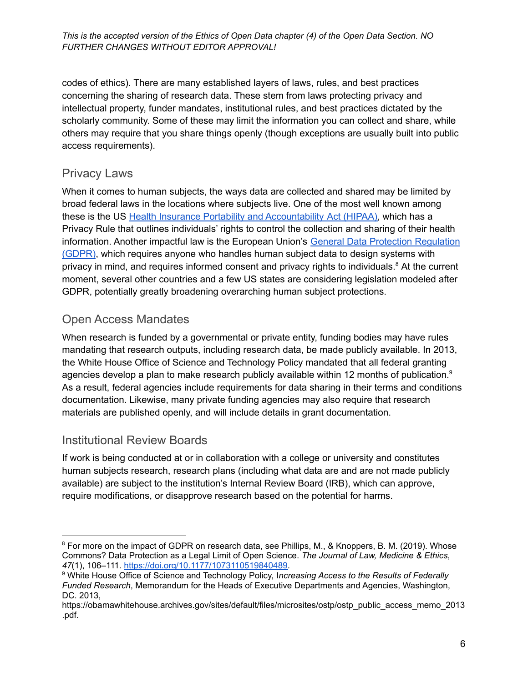codes of ethics). There are many established layers of laws, rules, and best practices concerning the sharing of research data. These stem from laws protecting privacy and intellectual property, funder mandates, institutional rules, and best practices dictated by the scholarly community. Some of these may limit the information you can collect and share, while others may require that you share things openly (though exceptions are usually built into public access requirements).

#### Privacy Laws

When it comes to human subjects, the ways data are collected and shared may be limited by broad federal laws in the locations where subjects live. One of the most well known among these is the US Health Insurance Portability and [Accountability](https://www.hhs.gov/hipaa/for-professionals/privacy/laws-regulations/index.html) Act (HIPAA), which has a Privacy Rule that outlines individuals' rights to control the collection and sharing of their health information. Another impactful law is the European Union's General Data Protection [Regulation](https://eur-lex.europa.eu/legal-content/EN/TXT/HTML/?uri=CELEX:32016R0679&from=EN) [\(GDPR\)](https://eur-lex.europa.eu/legal-content/EN/TXT/HTML/?uri=CELEX:32016R0679&from=EN), which requires anyone who handles human subject data to design systems with privacy in mind, and requires informed consent and privacy rights to individuals.<sup>8</sup> At the current moment, several other countries and a few US states are considering legislation modeled after GDPR, potentially greatly broadening overarching human subject protections.

### Open Access Mandates

When research is funded by a governmental or private entity, funding bodies may have rules mandating that research outputs, including research data, be made publicly available. In 2013, the White House Office of Science and Technology Policy mandated that all federal granting agencies develop a plan to make research publicly available within 12 months of publication.<sup>9</sup> As a result, federal agencies include requirements for data sharing in their terms and conditions documentation. Likewise, many private funding agencies may also require that research materials are published openly, and will include details in grant documentation.

### Institutional Review Boards

If work is being conducted at or in collaboration with a college or university and constitutes human subjects research, research plans (including what data are and are not made publicly available) are subject to the institution's Internal Review Board (IRB), which can approve, require modifications, or disapprove research based on the potential for harms.

<sup>&</sup>lt;sup>8</sup> For more on the impact of GDPR on research data, see Phillips, M., & Knoppers, B. M. (2019). Whose Commons? Data Protection as a Legal Limit of Open Science. *The Journal of Law, Medicine & Ethics*, *47*(1), 106–111. [https://doi.org/10.1177/1073110519840489.](https://doi.org/10.1177/1073110519840489)

<sup>9</sup> White House Office of Science and Technology Policy, I*ncreasing Access to the Results of Federally Funded Research*, Memorandum for the Heads of Executive Departments and Agencies, Washington, DC. 2013,

https://obamawhitehouse.archives.gov/sites/default/files/microsites/ostp/ostp\_public\_access\_memo\_2013 .pdf.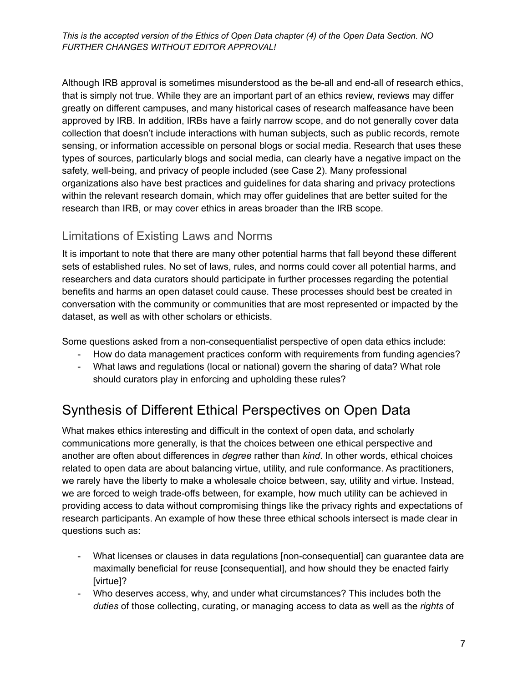Although IRB approval is sometimes misunderstood as the be-all and end-all of research ethics, that is simply not true. While they are an important part of an ethics review, reviews may differ greatly on different campuses, and many historical cases of research malfeasance have been approved by IRB. In addition, IRBs have a fairly narrow scope, and do not generally cover data collection that doesn't include interactions with human subjects, such as public records, remote sensing, or information accessible on personal blogs or social media. Research that uses these types of sources, particularly blogs and social media, can clearly have a negative impact on the safety, well-being, and privacy of people included (see Case 2). Many professional organizations also have best practices and guidelines for data sharing and privacy protections within the relevant research domain, which may offer guidelines that are better suited for the research than IRB, or may cover ethics in areas broader than the IRB scope.

### Limitations of Existing Laws and Norms

It is important to note that there are many other potential harms that fall beyond these different sets of established rules. No set of laws, rules, and norms could cover all potential harms, and researchers and data curators should participate in further processes regarding the potential benefits and harms an open dataset could cause. These processes should best be created in conversation with the community or communities that are most represented or impacted by the dataset, as well as with other scholars or ethicists.

Some questions asked from a non-consequentialist perspective of open data ethics include:

- How do data management practices conform with requirements from funding agencies?
- What laws and regulations (local or national) govern the sharing of data? What role should curators play in enforcing and upholding these rules?

### <span id="page-6-0"></span>Synthesis of Different Ethical Perspectives on Open Data

What makes ethics interesting and difficult in the context of open data, and scholarly communications more generally, is that the choices between one ethical perspective and another are often about differences in *degree* rather than *kind*. In other words, ethical choices related to open data are about balancing virtue, utility, and rule conformance. As practitioners, we rarely have the liberty to make a wholesale choice between, say, utility and virtue. Instead, we are forced to weigh trade-offs between, for example, how much utility can be achieved in providing access to data without compromising things like the privacy rights and expectations of research participants. An example of how these three ethical schools intersect is made clear in questions such as:

- What licenses or clauses in data regulations [non-consequential] can guarantee data are maximally beneficial for reuse [consequential], and how should they be enacted fairly [virtue]?
- Who deserves access, why, and under what circumstances? This includes both the *duties* of those collecting, curating, or managing access to data as well as the *rights* of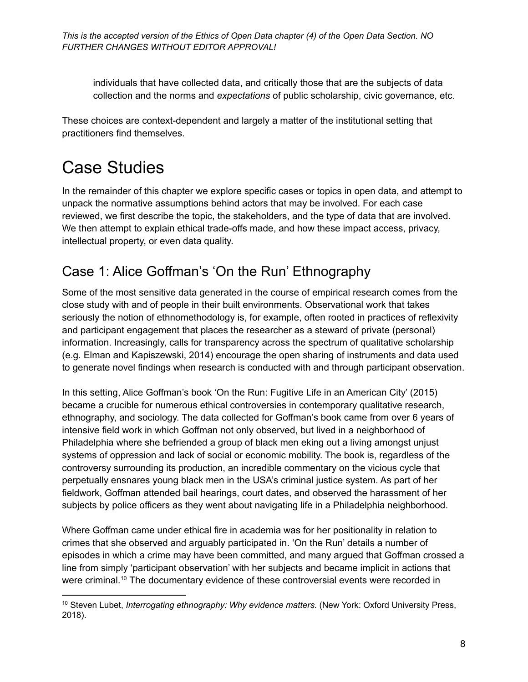individuals that have collected data, and critically those that are the subjects of data collection and the norms and *expectations* of public scholarship, civic governance, etc.

These choices are context-dependent and largely a matter of the institutional setting that practitioners find themselves.

# <span id="page-7-0"></span>Case Studies

In the remainder of this chapter we explore specific cases or topics in open data, and attempt to unpack the normative assumptions behind actors that may be involved. For each case reviewed, we first describe the topic, the stakeholders, and the type of data that are involved. We then attempt to explain ethical trade-offs made, and how these impact access, privacy, intellectual property, or even data quality.

### <span id="page-7-1"></span>Case 1: Alice Goffman's 'On the Run' Ethnography

Some of the most sensitive data generated in the course of empirical research comes from the close study with and of people in their built environments. Observational work that takes seriously the notion of ethnomethodology is, for example, often rooted in practices of reflexivity and participant engagement that places the researcher as a steward of private (personal) information. Increasingly, calls for transparency across the spectrum of qualitative scholarship (e.g. Elman and Kapiszewski, 2014) encourage the open sharing of instruments and data used to generate novel findings when research is conducted with and through participant observation.

In this setting, Alice Goffman's book 'On the Run: Fugitive Life in an American City' (2015) became a crucible for numerous ethical controversies in contemporary qualitative research, ethnography, and sociology. The data collected for Goffman's book came from over 6 years of intensive field work in which Goffman not only observed, but lived in a neighborhood of Philadelphia where she befriended a group of black men eking out a living amongst unjust systems of oppression and lack of social or economic mobility. The book is, regardless of the controversy surrounding its production, an incredible commentary on the vicious cycle that perpetually ensnares young black men in the USA's criminal justice system. As part of her fieldwork, Goffman attended bail hearings, court dates, and observed the harassment of her subjects by police officers as they went about navigating life in a Philadelphia neighborhood.

Where Goffman came under ethical fire in academia was for her positionality in relation to crimes that she observed and arguably participated in. 'On the Run' details a number of episodes in which a crime may have been committed, and many argued that Goffman crossed a line from simply 'participant observation' with her subjects and became implicit in actions that were criminal.<sup>10</sup> The documentary evidence of these controversial events were recorded in

<sup>10</sup> Steven Lubet, *Interrogating ethnography: Why evidence matters*. (New York: Oxford University Press, 2018).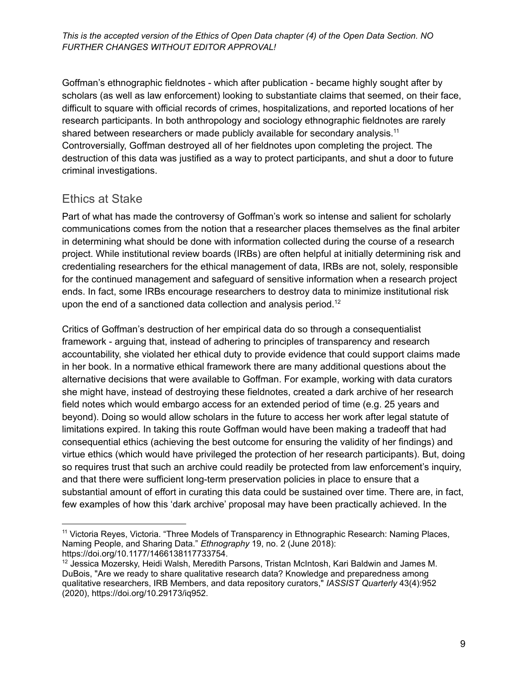Goffman's ethnographic fieldnotes - which after publication - became highly sought after by scholars (as well as law enforcement) looking to substantiate claims that seemed, on their face, difficult to square with official records of crimes, hospitalizations, and reported locations of her research participants. In both anthropology and sociology ethnographic fieldnotes are rarely shared between researchers or made publicly available for secondary analysis.<sup>11</sup> Controversially, Goffman destroyed all of her fieldnotes upon completing the project. The destruction of this data was justified as a way to protect participants, and shut a door to future criminal investigations.

### Ethics at Stake

Part of what has made the controversy of Goffman's work so intense and salient for scholarly communications comes from the notion that a researcher places themselves as the final arbiter in determining what should be done with information collected during the course of a research project. While institutional review boards (IRBs) are often helpful at initially determining risk and credentialing researchers for the ethical management of data, IRBs are not, solely, responsible for the continued management and safeguard of sensitive information when a research project ends. In fact, some IRBs encourage researchers to destroy data to minimize institutional risk upon the end of a sanctioned data collection and analysis period.<sup>12</sup>

Critics of Goffman's destruction of her empirical data do so through a consequentialist framework - arguing that, instead of adhering to principles of transparency and research accountability, she violated her ethical duty to provide evidence that could support claims made in her book. In a normative ethical framework there are many additional questions about the alternative decisions that were available to Goffman. For example, working with data curators she might have, instead of destroying these fieldnotes, created a dark archive of her research field notes which would embargo access for an extended period of time (e.g. 25 years and beyond). Doing so would allow scholars in the future to access her work after legal statute of limitations expired. In taking this route Goffman would have been making a tradeoff that had consequential ethics (achieving the best outcome for ensuring the validity of her findings) and virtue ethics (which would have privileged the protection of her research participants). But, doing so requires trust that such an archive could readily be protected from law enforcement's inquiry, and that there were sufficient long-term preservation policies in place to ensure that a substantial amount of effort in curating this data could be sustained over time. There are, in fact, few examples of how this 'dark archive' proposal may have been practically achieved. In the

<sup>11</sup> Victoria Reyes, Victoria. "Three Models of Transparency in Ethnographic Research: Naming Places, Naming People, and Sharing Data." *Ethnography* 19, no. 2 (June 2018): https://doi.org/10.1177/1466138117733754.

<sup>&</sup>lt;sup>12</sup> Jessica Mozersky, Heidi Walsh, Meredith Parsons, Tristan McIntosh, Kari Baldwin and James M. DuBois, "Are we ready to share qualitative research data? Knowledge and preparedness among qualitative researchers, IRB Members, and data repository curators," *IASSIST Quarterly* 43(4):952 (2020), https://doi.org/10.29173/iq952.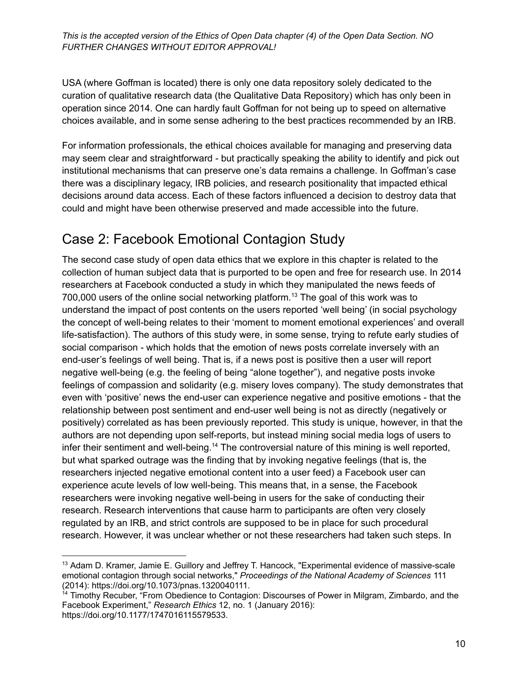USA (where Goffman is located) there is only one data repository solely dedicated to the curation of qualitative research data (the Qualitative Data Repository) which has only been in operation since 2014. One can hardly fault Goffman for not being up to speed on alternative choices available, and in some sense adhering to the best practices recommended by an IRB.

For information professionals, the ethical choices available for managing and preserving data may seem clear and straightforward - but practically speaking the ability to identify and pick out institutional mechanisms that can preserve one's data remains a challenge. In Goffman's case there was a disciplinary legacy, IRB policies, and research positionality that impacted ethical decisions around data access. Each of these factors influenced a decision to destroy data that could and might have been otherwise preserved and made accessible into the future.

### <span id="page-9-0"></span>Case 2: Facebook Emotional Contagion Study

The second case study of open data ethics that we explore in this chapter is related to the collection of human subject data that is purported to be open and free for research use. In 2014 researchers at Facebook conducted a study in which they manipulated the news feeds of 700,000 users of the online social networking platform. <sup>13</sup> The goal of this work was to understand the impact of post contents on the users reported 'well being' (in social psychology the concept of well-being relates to their 'moment to moment emotional experiences' and overall life-satisfaction). The authors of this study were, in some sense, trying to refute early studies of social comparison - which holds that the emotion of news posts correlate inversely with an end-user's feelings of well being. That is, if a news post is positive then a user will report negative well-being (e.g. the feeling of being "alone together"), and negative posts invoke feelings of compassion and solidarity (e.g. misery loves company). The study demonstrates that even with 'positive' news the end-user can experience negative and positive emotions - that the relationship between post sentiment and end-user well being is not as directly (negatively or positively) correlated as has been previously reported. This study is unique, however, in that the authors are not depending upon self-reports, but instead mining social media logs of users to infer their sentiment and well-being.<sup>14</sup> The controversial nature of this mining is well reported, but what sparked outrage was the finding that by invoking negative feelings (that is, the researchers injected negative emotional content into a user feed) a Facebook user can experience acute levels of low well-being. This means that, in a sense, the Facebook researchers were invoking negative well-being in users for the sake of conducting their research. Research interventions that cause harm to participants are often very closely regulated by an IRB, and strict controls are supposed to be in place for such procedural research. However, it was unclear whether or not these researchers had taken such steps. In

<sup>13</sup> Adam D. Kramer, Jamie E. Guillory and Jeffrey T. Hancock, "Experimental evidence of massive-scale emotional contagion through social networks," *Proceedings of the National Academy of Sciences* 111 (2014): https://doi.org/10.1073/pnas.1320040111.

<sup>&</sup>lt;sup>14</sup> Timothy Recuber, "From Obedience to Contagion: Discourses of Power in Milgram, Zimbardo, and the Facebook Experiment," *Research Ethics* 12, no. 1 (January 2016): https://doi.org/10.1177/1747016115579533.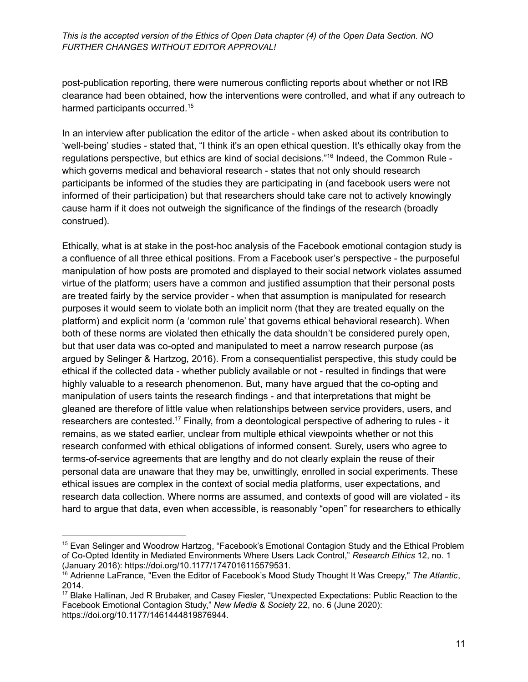post-publication reporting, there were numerous conflicting reports about whether or not IRB clearance had been obtained, how the interventions were controlled, and what if any outreach to harmed participants occurred.<sup>15</sup>

In an interview after publication the editor of the article - when asked about its contribution to 'well-being' studies - stated that, "I think it's an open ethical question. It's ethically okay from the regulations perspective, but ethics are kind of social decisions." 16 Indeed, the Common Rule which governs medical and behavioral research - states that not only should research participants be informed of the studies they are participating in (and facebook users were not informed of their participation) but that researchers should take care not to actively knowingly cause harm if it does not outweigh the significance of the findings of the research (broadly construed).

Ethically, what is at stake in the post-hoc analysis of the Facebook emotional contagion study is a confluence of all three ethical positions. From a Facebook user's perspective - the purposeful manipulation of how posts are promoted and displayed to their social network violates assumed virtue of the platform; users have a common and justified assumption that their personal posts are treated fairly by the service provider - when that assumption is manipulated for research purposes it would seem to violate both an implicit norm (that they are treated equally on the platform) and explicit norm (a 'common rule' that governs ethical behavioral research). When both of these norms are violated then ethically the data shouldn't be considered purely open, but that user data was co-opted and manipulated to meet a narrow research purpose (as argued by Selinger & Hartzog, 2016). From a consequentialist perspective, this study could be ethical if the collected data - whether publicly available or not - resulted in findings that were highly valuable to a research phenomenon. But, many have argued that the co-opting and manipulation of users taints the research findings - and that interpretations that might be gleaned are therefore of little value when relationships between service providers, users, and researchers are contested.<sup>17</sup> Finally, from a deontological perspective of adhering to rules - it remains, as we stated earlier, unclear from multiple ethical viewpoints whether or not this research conformed with ethical obligations of informed consent. Surely, users who agree to terms-of-service agreements that are lengthy and do not clearly explain the reuse of their personal data are unaware that they may be, unwittingly, enrolled in social experiments. These ethical issues are complex in the context of social media platforms, user expectations, and research data collection. Where norms are assumed, and contexts of good will are violated - its hard to argue that data, even when accessible, is reasonably "open" for researchers to ethically

<sup>&</sup>lt;sup>15</sup> Evan Selinger and Woodrow Hartzog, "Facebook's Emotional Contagion Study and the Ethical Problem of Co-Opted Identity in Mediated Environments Where Users Lack Control," *Research Ethics* 12, no. 1 (January 2016): https://doi.org/10.1177/1747016115579531.

<sup>16</sup> Adrienne LaFrance, "Even the Editor of Facebook's Mood Study Thought It Was Creepy," *The Atlantic*, 2014.

<sup>&</sup>lt;sup>17</sup> Blake Hallinan, Jed R Brubaker, and Casey Fiesler, "Unexpected Expectations: Public Reaction to the Facebook Emotional Contagion Study," *New Media & Society* 22, no. 6 (June 2020): https://doi.org/10.1177/1461444819876944.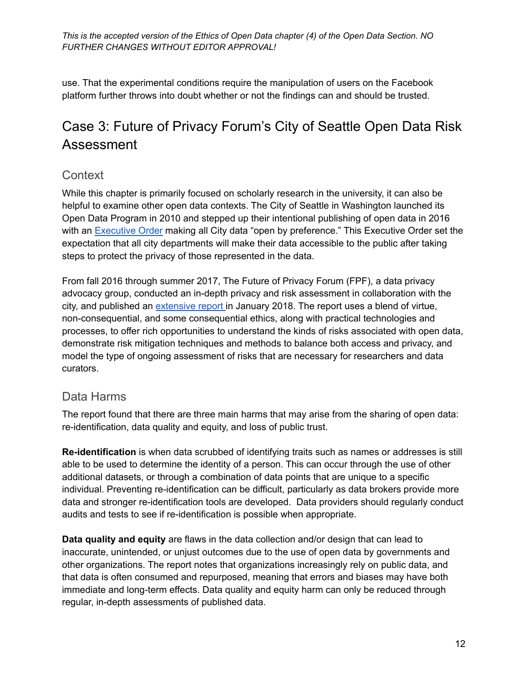use. That the experimental conditions require the manipulation of users on the Facebook platform further throws into doubt whether or not the findings can and should be trusted.

### <span id="page-11-0"></span>Case 3: Future of Privacy Forum's City of Seattle Open Data Risk Assessment

#### **Context**

While this chapter is primarily focused on scholarly research in the university, it can also be helpful to examine other open data contexts. The City of Seattle in Washington launched its Open Data Program in 2010 and stepped up their intentional publishing of open data in 2016 with an [Executive](http://murray.seattle.gov/wp-content/uploads/2016/02/2.26-EO.pdf) Order making all City data "open by preference." This Executive Order set the expectation that all city departments will make their data accessible to the public after taking steps to protect the privacy of those represented in the data.

From fall 2016 through summer 2017, The Future of Privacy Forum (FPF), a data privacy advocacy group, conducted an in-depth privacy and risk assessment in collaboration with the city, and published an [extensive](http://www.seattle.gov/Documents/Departments/SeattleIT/DigitalEngagement/OpenData/FPF-Open-Data-Risk-Assessment-for-City-of-Seattle.pdf) report in January 2018. The report uses a blend of virtue, non-consequential, and some consequential ethics, along with practical technologies and processes, to offer rich opportunities to understand the kinds of risks associated with open data, demonstrate risk mitigation techniques and methods to balance both access and privacy, and model the type of ongoing assessment of risks that are necessary for researchers and data curators.

#### Data Harms

The report found that there are three main harms that may arise from the sharing of open data: re-identification, data quality and equity, and loss of public trust.

**Re-identification** is when data scrubbed of identifying traits such as names or addresses is still able to be used to determine the identity of a person. This can occur through the use of other additional datasets, or through a combination of data points that are unique to a specific individual. Preventing re-identification can be difficult, particularly as data brokers provide more data and stronger re-identification tools are developed. Data providers should regularly conduct audits and tests to see if re-identification is possible when appropriate.

**Data quality and equity** are flaws in the data collection and/or design that can lead to inaccurate, unintended, or unjust outcomes due to the use of open data by governments and other organizations. The report notes that organizations increasingly rely on public data, and that data is often consumed and repurposed, meaning that errors and biases may have both immediate and long-term effects. Data quality and equity harm can only be reduced through regular, in-depth assessments of published data.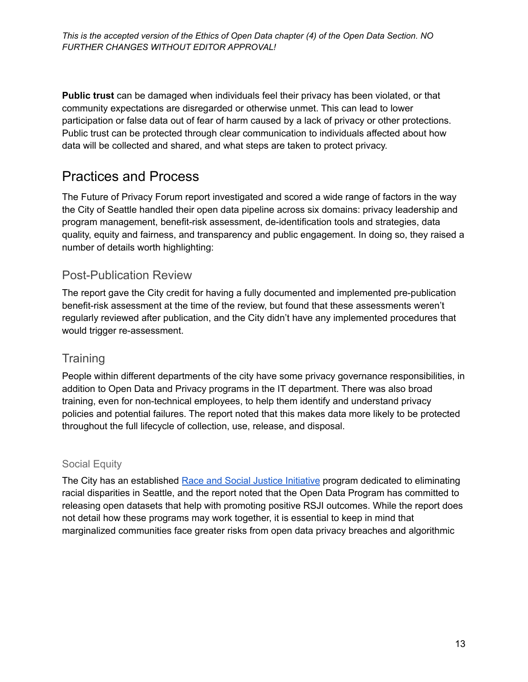**Public trust** can be damaged when individuals feel their privacy has been violated, or that community expectations are disregarded or otherwise unmet. This can lead to lower participation or false data out of fear of harm caused by a lack of privacy or other protections. Public trust can be protected through clear communication to individuals affected about how data will be collected and shared, and what steps are taken to protect privacy.

### Practices and Process

The Future of Privacy Forum report investigated and scored a wide range of factors in the way the City of Seattle handled their open data pipeline across six domains: privacy leadership and program management, benefit-risk assessment, de-identification tools and strategies, data quality, equity and fairness, and transparency and public engagement. In doing so, they raised a number of details worth highlighting:

#### Post-Publication Review

The report gave the City credit for having a fully documented and implemented pre-publication benefit-risk assessment at the time of the review, but found that these assessments weren't regularly reviewed after publication, and the City didn't have any implemented procedures that would trigger re-assessment.

### **Training**

People within different departments of the city have some privacy governance responsibilities, in addition to Open Data and Privacy programs in the IT department. There was also broad training, even for non-technical employees, to help them identify and understand privacy policies and potential failures. The report noted that this makes data more likely to be protected throughout the full lifecycle of collection, use, release, and disposal.

#### Social Equity

The City has an established Race and Social Justice [Initiative](https://www.seattle.gov/rsji) program dedicated to eliminating racial disparities in Seattle, and the report noted that the Open Data Program has committed to releasing open datasets that help with promoting positive RSJI outcomes. While the report does not detail how these programs may work together, it is essential to keep in mind that marginalized communities face greater risks from open data privacy breaches and algorithmic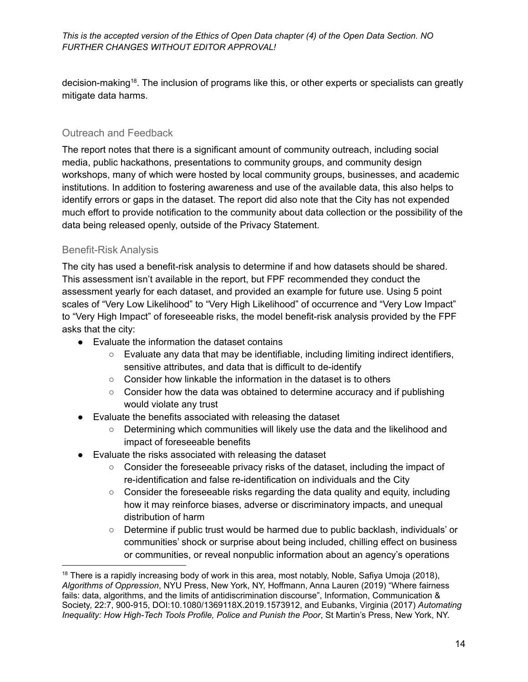decision-making<sup>18</sup>. The inclusion of programs like this, or other experts or specialists can greatly mitigate data harms.

#### Outreach and Feedback

The report notes that there is a significant amount of community outreach, including social media, public hackathons, presentations to community groups, and community design workshops, many of which were hosted by local community groups, businesses, and academic institutions. In addition to fostering awareness and use of the available data, this also helps to identify errors or gaps in the dataset. The report did also note that the City has not expended much effort to provide notification to the community about data collection or the possibility of the data being released openly, outside of the Privacy Statement.

#### Benefit-Risk Analysis

The city has used a benefit-risk analysis to determine if and how datasets should be shared. This assessment isn't available in the report, but FPF recommended they conduct the assessment yearly for each dataset, and provided an example for future use. Using 5 point scales of "Very Low Likelihood" to "Very High Likelihood" of occurrence and "Very Low Impact" to "Very High Impact" of foreseeable risks, the model benefit-risk analysis provided by the FPF asks that the city:

- Evaluate the information the dataset contains
	- $\circ$  Evaluate any data that may be identifiable, including limiting indirect identifiers, sensitive attributes, and data that is difficult to de-identify
	- Consider how linkable the information in the dataset is to others
	- Consider how the data was obtained to determine accuracy and if publishing would violate any trust
- Evaluate the benefits associated with releasing the dataset
	- Determining which communities will likely use the data and the likelihood and impact of foreseeable benefits
- Evaluate the risks associated with releasing the dataset
	- Consider the foreseeable privacy risks of the dataset, including the impact of re-identification and false re-identification on individuals and the City
	- Consider the foreseeable risks regarding the data quality and equity, including how it may reinforce biases, adverse or discriminatory impacts, and unequal distribution of harm
	- Determine if public trust would be harmed due to public backlash, individuals' or communities' shock or surprise about being included, chilling effect on business or communities, or reveal nonpublic information about an agency's operations

 $18$  There is a rapidly increasing body of work in this area, most notably, Noble, Safiya Umoja (2018), *Algorithms of Oppression*, NYU Press, New York, NY, Hoffmann, Anna Lauren (2019) "Where fairness fails: data, algorithms, and the limits of antidiscrimination discourse", Information, Communication & Society, 22:7, 900-915, DOI:10.1080/1369118X.2019.1573912, and Eubanks, Virginia (2017) *Automating Inequality: How High-Tech Tools Profile, Police and Punish the Poor*, St Martin's Press, New York, NY.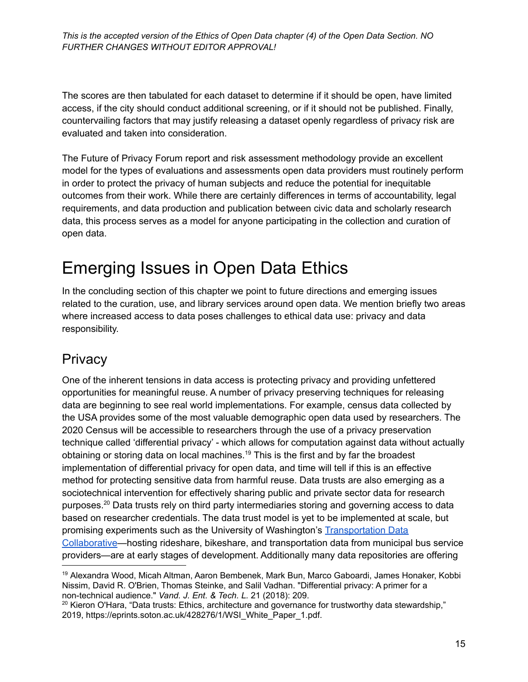The scores are then tabulated for each dataset to determine if it should be open, have limited access, if the city should conduct additional screening, or if it should not be published. Finally, countervailing factors that may justify releasing a dataset openly regardless of privacy risk are evaluated and taken into consideration.

The Future of Privacy Forum report and risk assessment methodology provide an excellent model for the types of evaluations and assessments open data providers must routinely perform in order to protect the privacy of human subjects and reduce the potential for inequitable outcomes from their work. While there are certainly differences in terms of accountability, legal requirements, and data production and publication between civic data and scholarly research data, this process serves as a model for anyone participating in the collection and curation of open data.

# <span id="page-14-0"></span>Emerging Issues in Open Data Ethics

In the concluding section of this chapter we point to future directions and emerging issues related to the curation, use, and library services around open data. We mention briefly two areas where increased access to data poses challenges to ethical data use: privacy and data responsibility.

### <span id="page-14-1"></span>**Privacy**

One of the inherent tensions in data access is protecting privacy and providing unfettered opportunities for meaningful reuse. A number of privacy preserving techniques for releasing data are beginning to see real world implementations. For example, census data collected by the USA provides some of the most valuable demographic open data used by researchers. The 2020 Census will be accessible to researchers through the use of a privacy preservation technique called 'differential privacy' - which allows for computation against data without actually obtaining or storing data on local machines. <sup>19</sup> This is the first and by far the broadest implementation of differential privacy for open data, and time will tell if this is an effective method for protecting sensitive data from harmful reuse. Data trusts are also emerging as a sociotechnical intervention for effectively sharing public and private sector data for research purposes.<sup>20</sup> Data trusts rely on third party intermediaries storing and governing access to data based on researcher credentials. The data trust model is yet to be implemented at scale, but promising experiments such as the University of Washington's [Transportation](https://www.uwtdc.org/) Data [Collaborative](https://www.uwtdc.org/)—hosting rideshare, bikeshare, and transportation data from municipal bus service providers—are at early stages of development. Additionally many data repositories are offering

<sup>19</sup> Alexandra Wood, Micah Altman, Aaron Bembenek, Mark Bun, Marco Gaboardi, James Honaker, Kobbi Nissim, David R. O'Brien, Thomas Steinke, and Salil Vadhan. "Differential privacy: A primer for a non-technical audience." *Vand. J. Ent. & Tech. L.* 21 (2018): 209.

 $20$  Kieron O'Hara, "Data trusts: Ethics, architecture and governance for trustworthy data stewardship," 2019, https://eprints.soton.ac.uk/428276/1/WSI\_White\_Paper\_1.pdf.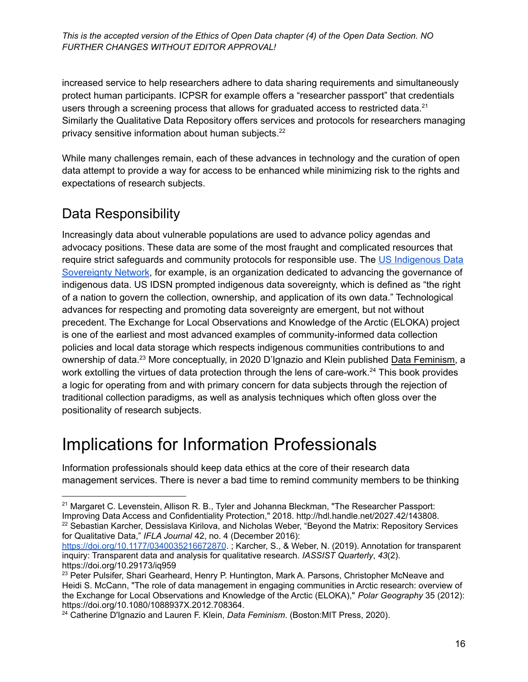increased service to help researchers adhere to data sharing requirements and simultaneously protect human participants. ICPSR for example offers a "researcher passport" that credentials users through a screening process that allows for graduated access to restricted data.<sup>21</sup> Similarly the Qualitative Data Repository offers services and protocols for researchers managing privacy sensitive information about human subjects.<sup>22</sup>

While many challenges remain, each of these advances in technology and the curation of open data attempt to provide a way for access to be enhanced while minimizing risk to the rights and expectations of research subjects.

### <span id="page-15-0"></span>Data Responsibility

Increasingly data about vulnerable populations are used to advance policy agendas and advocacy positions. These data are some of the most fraught and complicated resources that require strict safeguards and community protocols for responsible use. The US [Indigenous](https://usindigenousdata.org/) Data [Sovereignty](https://usindigenousdata.org/) Network, for example, is an organization dedicated to advancing the governance of indigenous data. US IDSN prompted indigenous data sovereignty, which is defined as "the right of a nation to govern the collection, ownership, and application of its own data." Technological advances for respecting and promoting data sovereignty are emergent, but not without precedent. The Exchange for Local Observations and Knowledge of the Arctic (ELOKA) project is one of the earliest and most advanced examples of community-informed data collection policies and local data storage which respects indigenous communities contributions to and ownership of data.<sup>23</sup> More conceptually, in 2020 D'Ignazio and Klein published Data Feminism, a work extolling the virtues of data protection through the lens of care-work.<sup>24</sup> This book provides a logic for operating from and with primary concern for data subjects through the rejection of traditional collection paradigms, as well as analysis techniques which often gloss over the positionality of research subjects.

# <span id="page-15-1"></span>Implications for Information Professionals

Information professionals should keep data ethics at the core of their research data management services. There is never a bad time to remind community members to be thinking

<sup>&</sup>lt;sup>22</sup> Sebastian Karcher, Dessislava Kirilova, and Nicholas Weber, "Beyond the Matrix: Repository Services <sup>21</sup> Margaret C. Levenstein, Allison R. B., Tyler and Johanna Bleckman, "The Researcher Passport: Improving Data Access and Confidentiality Protection," 2018. http://hdl.handle.net/2027.42/143808.

for Qualitative Data," *IFLA Journal* 42, no. 4 (December 2016): <https://doi.org/10.1177/0340035216672870>. ; Karcher, S., & Weber, N. (2019). Annotation for transparent

inquiry: Transparent data and analysis for qualitative research. *IASSIST Quarterly*, *43*(2). https://doi.org/10.29173/iq959

<sup>&</sup>lt;sup>23</sup> Peter Pulsifer, Shari Gearheard, Henry P. Huntington, Mark A. Parsons, Christopher McNeave and Heidi S. McCann, "The role of data management in engaging communities in Arctic research: overview of the Exchange for Local Observations and Knowledge of the Arctic (ELOKA)," *Polar Geography* 35 (2012): https://doi.org/10.1080/1088937X.2012.708364.

<sup>24</sup> Catherine D'Ignazio and Lauren F. Klein, *Data Feminism*. (Boston:MIT Press, 2020).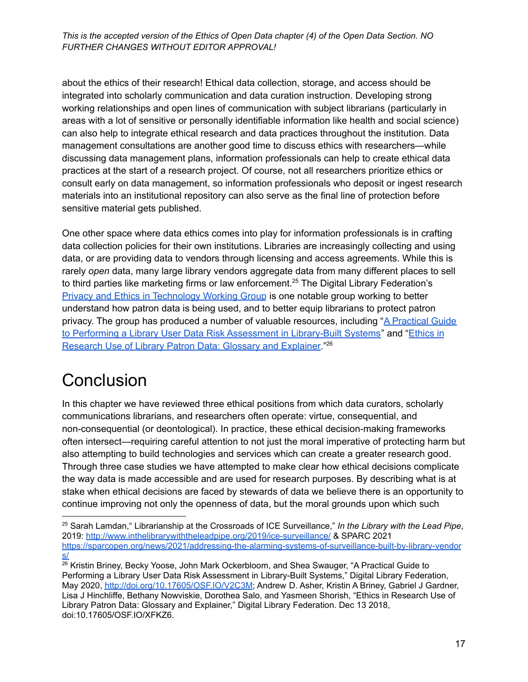about the ethics of their research! Ethical data collection, storage, and access should be integrated into scholarly communication and data curation instruction. Developing strong working relationships and open lines of communication with subject librarians (particularly in areas with a lot of sensitive or personally identifiable information like health and social science) can also help to integrate ethical research and data practices throughout the institution. Data management consultations are another good time to discuss ethics with researchers—while discussing data management plans, information professionals can help to create ethical data practices at the start of a research project. Of course, not all researchers prioritize ethics or consult early on data management, so information professionals who deposit or ingest research materials into an institutional repository can also serve as the final line of protection before sensitive material gets published.

One other space where data ethics comes into play for information professionals is in crafting data collection policies for their own institutions. Libraries are increasingly collecting and using data, or are providing data to vendors through licensing and access agreements. While this is rarely *open* data, many large library vendors aggregate data from many different places to sell to third parties like marketing firms or law enforcement.<sup>25</sup> The Digital Library Federation's Privacy and Ethics in [Technology](https://wiki.diglib.org/Privacy_and_Ethics_in_Technology) Working Group is one notable group working to better understand how patron data is being used, and to better equip librarians to protect patron privacy. The group has produced a number of valuable resources, including "A [Practical](https://osf.io/v2c3m/) Guide to Performing a Library User Data Risk [Assessment](https://osf.io/v2c3m/) in Library-Built Systems" and "[Ethics](https://osf.io/xfkz6/) in [Research](https://osf.io/xfkz6/) Use of Library Patron Data: Glossary and Explainer."<sup>26</sup>

# <span id="page-16-0"></span>**Conclusion**

In this chapter we have reviewed three ethical positions from which data curators, scholarly communications librarians, and researchers often operate: virtue, consequential, and non-consequential (or deontological). In practice, these ethical decision-making frameworks often intersect—requiring careful attention to not just the moral imperative of protecting harm but also attempting to build technologies and services which can create a greater research good. Through three case studies we have attempted to make clear how ethical decisions complicate the way data is made accessible and are used for research purposes. By describing what is at stake when ethical decisions are faced by stewards of data we believe there is an opportunity to continue improving not only the openness of data, but the moral grounds upon which such

<sup>25</sup> Sarah Lamdan," Librarianship at the Crossroads of ICE Surveillance," *In the Library with the Lead Pipe*, 2019: <http://www.inthelibrarywiththeleadpipe.org/2019/ice-surveillance/> & SPARC 2021 [https://sparcopen.org/news/2021/addressing-the-alarming-systems-of-surveillance-built-by-library-vendor](https://sparcopen.org/news/2021/addressing-the-alarming-systems-of-surveillance-built-by-library-vendors/) [s/](https://sparcopen.org/news/2021/addressing-the-alarming-systems-of-surveillance-built-by-library-vendors/)

<sup>&</sup>lt;sup>26</sup> Kristin Briney, Becky Yoose, John Mark Ockerbloom, and Shea Swauger, "A Practical Guide to Performing a Library User Data Risk Assessment in Library-Built Systems," Digital Library Federation, May 2020, <http://doi.org/10.17605/OSF.IO/V2C3M>; Andrew D. Asher, Kristin A Briney, Gabriel J Gardner, Lisa J Hinchliffe, Bethany Nowviskie, Dorothea Salo, and Yasmeen Shorish, "Ethics in Research Use of Library Patron Data: Glossary and Explainer," Digital Library Federation. Dec 13 2018, doi:10.17605/OSF.IO/XFKZ6.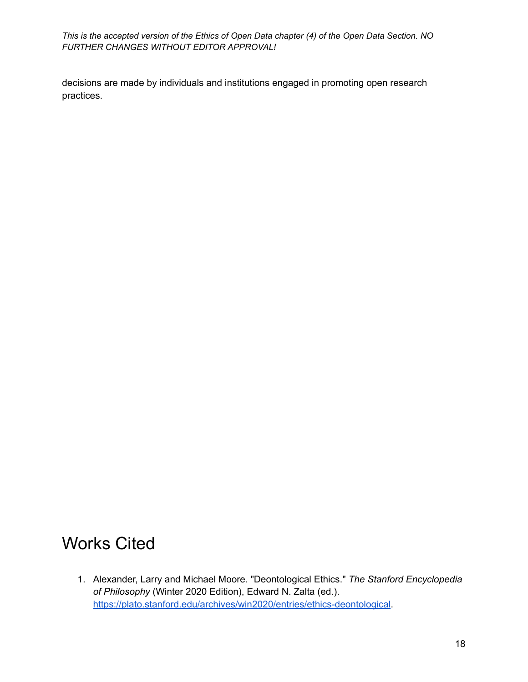decisions are made by individuals and institutions engaged in promoting open research practices.

# <span id="page-17-0"></span>Works Cited

1. Alexander, Larry and Michael Moore. "Deontological Ethics." *The Stanford Encyclopedia of Philosophy* (Winter 2020 Edition), Edward N. Zalta (ed.). <https://plato.stanford.edu/archives/win2020/entries/ethics-deontological>.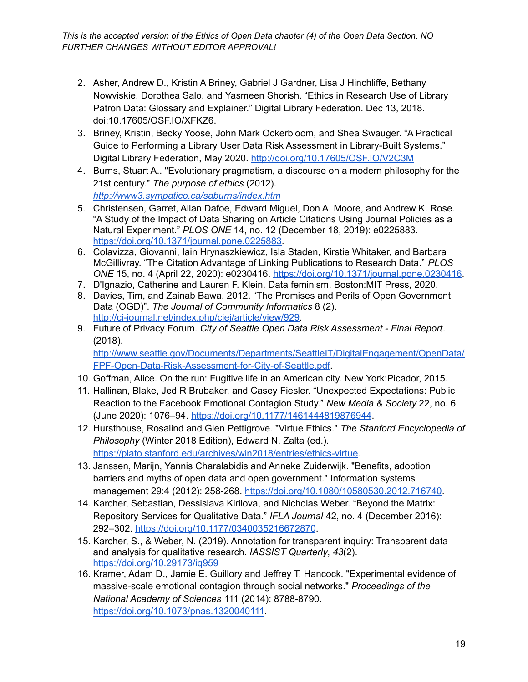- 2. Asher, Andrew D., Kristin A Briney, Gabriel J Gardner, Lisa J Hinchliffe, Bethany Nowviskie, Dorothea Salo, and Yasmeen Shorish. "Ethics in Research Use of Library Patron Data: Glossary and Explainer." Digital Library Federation. Dec 13, 2018. doi:10.17605/OSF.IO/XFKZ6.
- 3. Briney, Kristin, Becky Yoose, John Mark Ockerbloom, and Shea Swauger. "A Practical Guide to Performing a Library User Data Risk Assessment in Library-Built Systems." Digital Library Federation, May 2020. <http://doi.org/10.17605/OSF.IO/V2C3M>
- 4. Burns, Stuart A.. "Evolutionary pragmatism, a discourse on a modern philosophy for the 21st century." *The purpose of ethics* (2012). *<http://www3.sympatico.ca/saburns/index.htm>*
- 5. Christensen, Garret, Allan Dafoe, Edward Miguel, Don A. Moore, and Andrew K. Rose. "A Study of the Impact of Data Sharing on Article Citations Using Journal Policies as a Natural Experiment." *PLOS ONE* 14, no. 12 (December 18, 2019): e0225883. [https://doi.org/10.1371/journal.pone.0225883.](https://doi.org/10.1371/journal.pone.0225883)
- 6. Colavizza, Giovanni, Iain Hrynaszkiewicz, Isla Staden, Kirstie Whitaker, and Barbara McGillivray. "The Citation Advantage of Linking Publications to Research Data." *PLOS ONE* 15, no. 4 (April 22, 2020): e0230416. [https://doi.org/10.1371/journal.pone.0230416.](https://doi.org/10.1371/journal.pone.0230416)
- 7. D'Ignazio, Catherine and Lauren F. Klein. Data feminism. Boston:MIT Press, 2020.
- 8. Davies, Tim, and Zainab Bawa. 2012. "The Promises and Perils of Open Government Data (OGD)". *The Journal of Community Informatics* 8 (2). [http://ci-journal.net/index.php/ciej/article/view/929.](http://ci-journal.net/index.php/ciej/article/view/929)
- 9. Future of Privacy Forum. *City of Seattle Open Data Risk Assessment - Final Report*. (2018). [http://www.seattle.gov/Documents/Departments/SeattleIT/DigitalEngagement/OpenData/](http://www.seattle.gov/Documents/Departments/SeattleIT/DigitalEngagement/OpenData/FPF-Open-Data-Risk-Assessment-for-City-of-Seattle.pdf)

[FPF-Open-Data-Risk-Assessment-for-City-of-Seattle.pdf.](http://www.seattle.gov/Documents/Departments/SeattleIT/DigitalEngagement/OpenData/FPF-Open-Data-Risk-Assessment-for-City-of-Seattle.pdf)

- 10. Goffman, Alice. On the run: Fugitive life in an American city. New York:Picador, 2015.
- 11. Hallinan, Blake, Jed R Brubaker, and Casey Fiesler. "Unexpected Expectations: Public Reaction to the Facebook Emotional Contagion Study." *New Media & Society* 22, no. 6 (June 2020): 1076–94. <https://doi.org/10.1177/1461444819876944>.
- 12. Hursthouse, Rosalind and Glen Pettigrove. "Virtue Ethics." *The Stanford Encyclopedia of Philosophy* (Winter 2018 Edition), Edward N. Zalta (ed.). [https://plato.stanford.edu/archives/win2018/entries/ethics-virtue](https://plato.stanford.edu/archives/win2018/entries/ethics-virtue/).
- 13. Janssen, Marijn, Yannis Charalabidis and Anneke Zuiderwijk. "Benefits, adoption barriers and myths of open data and open government." Information systems management 29:4 (2012): 258-268. [https://doi.org/10.1080/10580530.2012.716740.](https://doi.org/10.1080/10580530.2012.716740)
- 14. Karcher, Sebastian, Dessislava Kirilova, and Nicholas Weber. "Beyond the Matrix: Repository Services for Qualitative Data." *IFLA Journal* 42, no. 4 (December 2016): 292–302. <https://doi.org/10.1177/0340035216672870>.
- 15. Karcher, S., & Weber, N. (2019). Annotation for transparent inquiry: Transparent data and analysis for qualitative research. *IASSIST Quarterly*, *43*(2). <https://doi.org/10.29173/iq959>
- 16. Kramer, Adam D., Jamie E. Guillory and Jeffrey T. Hancock. "Experimental evidence of massive-scale emotional contagion through social networks." *Proceedings of the National Academy of Sciences* 111 (2014): 8788-8790. [https://doi.org/10.1073/pnas.1320040111.](https://doi.org/10.1073/pnas.1320040111)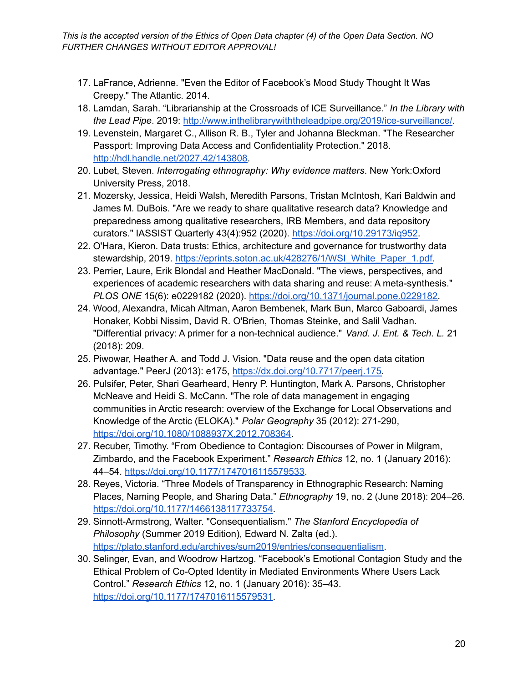- 17. LaFrance, Adrienne. "Even the Editor of Facebook's Mood Study Thought It Was Creepy." The Atlantic. 2014.
- 18. Lamdan, Sarah. "Librarianship at the Crossroads of ICE Surveillance." *In the Library with the Lead Pipe*. 2019: [http://www.inthelibrarywiththeleadpipe.org/2019/ice-surveillance/.](http://www.inthelibrarywiththeleadpipe.org/2019/ice-surveillance/)
- 19. Levenstein, Margaret C., Allison R. B., Tyler and Johanna Bleckman. "The Researcher Passport: Improving Data Access and Confidentiality Protection." 2018. <http://hdl.handle.net/2027.42/143808>.
- 20. Lubet, Steven. *Interrogating ethnography: Why evidence matters*. New York:Oxford University Press, 2018.
- 21. Mozersky, Jessica, Heidi Walsh, Meredith Parsons, Tristan McIntosh, Kari Baldwin and James M. DuBois. "Are we ready to share qualitative research data? Knowledge and preparedness among qualitative researchers, IRB Members, and data repository curators." IASSIST Quarterly 43(4):952 (2020). [https://doi.org/10.29173/iq952.](https://doi.org/10.29173/iq952)
- 22. O'Hara, Kieron. Data trusts: Ethics, architecture and governance for trustworthy data stewardship, 2019. [https://eprints.soton.ac.uk/428276/1/WSI\\_White\\_Paper\\_1.pdf.](https://eprints.soton.ac.uk/428276/1/WSI_White_Paper_1.pdf)
- 23. Perrier, Laure, Erik Blondal and Heather MacDonald. "The views, perspectives, and experiences of academic researchers with data sharing and reuse: A meta-synthesis." *PLOS ONE* 15(6): e0229182 (2020). [https://doi.org/10.1371/journal.pone.0229182.](https://doi.org/10.1371/journal.pone.0229182)
- 24. Wood, Alexandra, Micah Altman, Aaron Bembenek, Mark Bun, Marco Gaboardi, James Honaker, Kobbi Nissim, David R. O'Brien, Thomas Steinke, and Salil Vadhan. "Differential privacy: A primer for a non-technical audience." *Vand. J. Ent. & Tech. L.* 21 (2018): 209.
- 25. Piwowar, Heather A. and Todd J. Vision. "Data reuse and the open data citation advantage." PeerJ (2013): e175, [https://dx.doi.org/10.7717/peerj.175.](https://dx.doi.org/10.7717/peerj.175)
- 26. Pulsifer, Peter, Shari Gearheard, Henry P. Huntington, Mark A. Parsons, Christopher McNeave and Heidi S. McCann. "The role of data management in engaging communities in Arctic research: overview of the Exchange for Local Observations and Knowledge of the Arctic (ELOKA)." *Polar Geography* 35 (2012): 271-290, [https://doi.org/10.1080/1088937X.2012.708364.](https://doi.org/10.1080/1088937X.2012.708364)
- 27. Recuber, Timothy. "From Obedience to Contagion: Discourses of Power in Milgram, Zimbardo, and the Facebook Experiment." *Research Ethics* 12, no. 1 (January 2016): 44–54. <https://doi.org/10.1177/1747016115579533>.
- 28. Reyes, Victoria. "Three Models of Transparency in Ethnographic Research: Naming Places, Naming People, and Sharing Data." *Ethnography* 19, no. 2 (June 2018): 204–26. [https://doi.org/10.1177/1466138117733754.](https://doi.org/10.1177/1466138117733754)
- 29. Sinnott-Armstrong, Walter. "Consequentialism." *The Stanford Encyclopedia of Philosophy* (Summer 2019 Edition), Edward N. Zalta (ed.). <https://plato.stanford.edu/archives/sum2019/entries/consequentialism>.
- 30. Selinger, Evan, and Woodrow Hartzog. "Facebook's Emotional Contagion Study and the Ethical Problem of Co-Opted Identity in Mediated Environments Where Users Lack Control." *Research Ethics* 12, no. 1 (January 2016): 35–43. [https://doi.org/10.1177/1747016115579531.](https://doi.org/10.1177/1747016115579531)